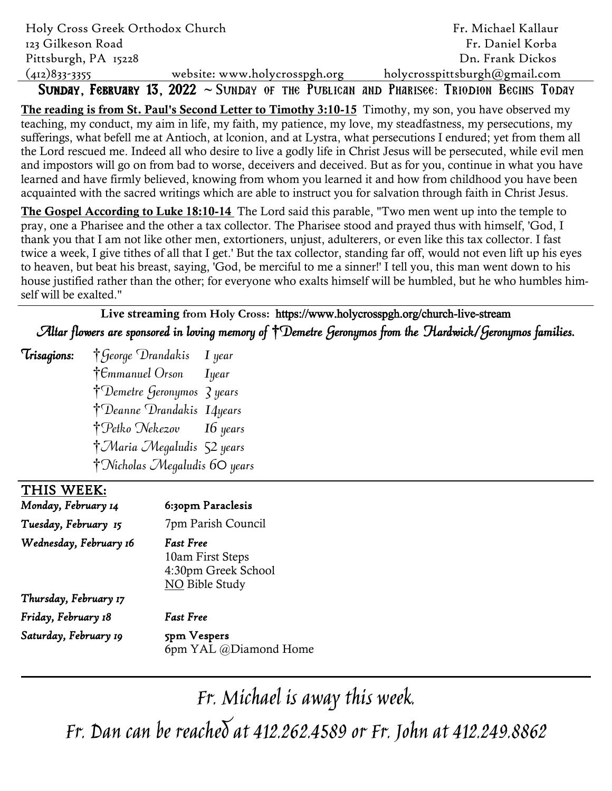| Holy Cross Greek Orthodox Church |                               | Fr. Michael Kallaur                                                                         |
|----------------------------------|-------------------------------|---------------------------------------------------------------------------------------------|
| 123 Gilkeson Road                |                               | Fr. Daniel Korba                                                                            |
| Pittsburgh, PA 15228             |                               | Dn. Frank Dickos                                                                            |
| $(412)833 - 3355$                | website: www.holycrosspgh.org | holycrosspittsburgh@gmail.com                                                               |
|                                  |                               | SUNDAY, FEBRUARY 13, $2022 \sim$ SUNDAY OF THE PUBLICAN AND PHARISEE: TRIODION BEGINS TODAY |

**The reading is from St. Paul's Second Letter to Timothy 3:10-15** Timothy, my son, you have observed my teaching, my conduct, my aim in life, my faith, my patience, my love, my steadfastness, my persecutions, my sufferings, what befell me at Antioch, at lconion, and at Lystra, what persecutions I endured; yet from them all the Lord rescued me. Indeed all who desire to live a godly life in Christ Jesus will be persecuted, while evil men and impostors will go on from bad to worse, deceivers and deceived. But as for you, continue in what you have learned and have firmly believed, knowing from whom you learned it and how from childhood you have been acquainted with the sacred writings which are able to instruct you for salvation through faith in Christ Jesus.

**The Gospel According to Luke 18:10-14** The Lord said this parable, "Two men went up into the temple to pray, one a Pharisee and the other a tax collector. The Pharisee stood and prayed thus with himself, 'God, I thank you that I am not like other men, extortioners, unjust, adulterers, or even like this tax collector. I fast twice a week, I give tithes of all that I get.' But the tax collector, standing far off, would not even lift up his eyes to heaven, but beat his breast, saying, 'God, be merciful to me a sinner!' I tell you, this man went down to his house justified rather than the other; for everyone who exalts himself will be humbled, but he who humbles himself will be exalted."

**Live streaming from Holy Cross:** https://www.holycrosspgh.org/church-live-stream Altar flowers are sponsored in loving memory of †Demetre Geronymos from the Hardwick/Geronymos families.

 $\tau$ isagions:  $\dagger$  George Drandakis I year  $\dagger$ Emmanuel Orson Iyear †Demetre Geronymos 3 years †Deanne Drandakis 14years †Petko Nekezov 16 years †Maria Megaludis 52 years †Nicholas Megaludis 60 years

#### $\overline{a}$ THIS WEEK:

*Monday, February 14* 6:30pm Paraclesis

*Tuesday, February 15* 7pm Parish Council

### *Wednesday, February 16 Fast Free*

10am First Steps 4:30pm Greek School NO Bible Study

*Thursday, February 17 Friday, February 18 Fast Free Saturday, February 19* 5pm Vespers

6pm YAL @Diamond Home

Fr. Michael is away this week. Fr. Dan can be reached at 412.262.4589 or Fr. John at 412.249.8862